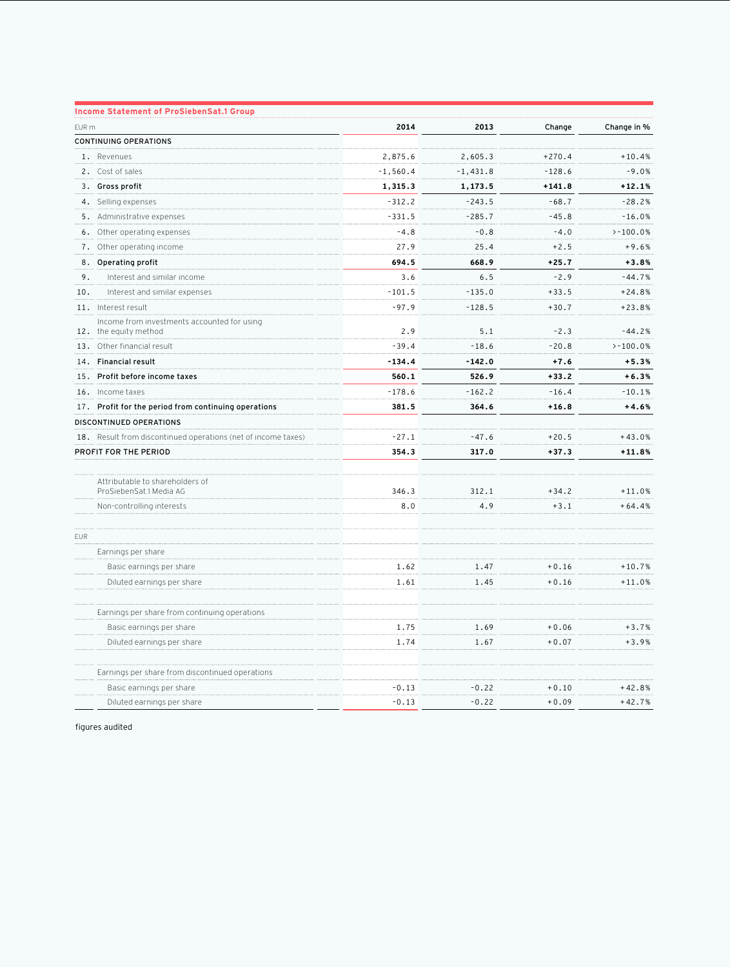|                       | <b>Income Statement of ProSiebenSat.1 Group</b>                      |            |            |          |             |
|-----------------------|----------------------------------------------------------------------|------------|------------|----------|-------------|
| EUR m                 |                                                                      | 2014       | 2013       | Change   | Change in % |
|                       | <b>CONTINUING OPERATIONS</b>                                         |            |            |          |             |
|                       | 1. Revenues                                                          | 2,875.6    | 2,605.3    | $+270.4$ | $+10.4%$    |
|                       | 2. Cost of sales                                                     | $-1,560.4$ | $-1,431.8$ | $-128.6$ | $-9.0%$     |
|                       | 3. Gross profit                                                      | 1,315.3    | 1,173.5    | $+141.8$ | $+12.1%$    |
|                       | 4. Selling expenses                                                  | $-312.2$   | $-243.5$   | $-68.7$  | $-28.2%$    |
|                       | 5. Administrative expenses                                           | $-331.5$   | $-285.7$   | $-45.8$  | $-16.0%$    |
| 6.                    | Other operating expenses                                             | $-4.8$     | $-0.8$     | $-4.0$   | $> -100.0%$ |
| 7.                    | Other operating income                                               | 27.9       | 25.4       | $+2.5$   | $+9.6%$     |
|                       | 8. Operating profit                                                  | 694.5      | 668.9      | $+25.7$  | $+3.8%$     |
| 9.                    | Interest and similar income                                          | 3.6        | 6.5        | $-2.9$   | $-44.7%$    |
| 10.                   | Interest and similar expenses                                        | $-101.5$   | $-135.0$   | $+33.5$  | $+24.8%$    |
|                       | 11. Interest result                                                  | $-97.9$    | $-128.5$   | $+30.7$  | $+23.8%$    |
|                       | Income from investments accounted for using<br>12. the equity method | 2.9        | 5.1        | $-2.3$   | $-44.2%$    |
|                       | 13. Other financial result                                           | $-39.4$    | $-18.6$    | $-20.8$  | $> -100.0%$ |
|                       | 14. Financial result                                                 | $-134.4$   | $-142.0$   | $+7.6$   | $+5.3%$     |
| 15.                   | Profit before income taxes                                           | 560.1      | 526.9      | $+33.2$  | $+6.3%$     |
|                       | 16. Income taxes                                                     | $-178.6$   | $-162.2$   | $-16.4$  | $-10.1%$    |
| 17.                   | Profit for the period from continuing operations                     | 381.5      | 364.6      | $+16.8$  | $+4.6%$     |
|                       | DISCONTINUED OPERATIONS                                              |            |            |          |             |
|                       | 18. Result from discontinued operations (net of income taxes)        | $-27.1$    | $-47.6$    | $+20.5$  | $+43.0%$    |
| PROFIT FOR THE PERIOD |                                                                      | 354.3      | 317.0      | $+37.3$  | $+11.8%$    |
|                       | Attributable to shareholders of<br>ProSiebenSat.1 Media AG           | 346.3      | 312.1      | $+34.2$  | $+11.0%$    |
|                       | Non-controlling interests                                            | 8.0        | 4.9        | $+3.1$   | $+64.4%$    |
| <b>EUR</b>            |                                                                      |            |            |          |             |
|                       | Earnings per share                                                   |            |            |          |             |
|                       | Basic earnings per share                                             | 1.62       | 1.47       | $+0.16$  | $+10.7%$    |
|                       | Diluted earnings per share                                           | 1.61       | 1.45       | $+0.16$  | $+11.0%$    |
|                       | Earnings per share from continuing operations                        |            |            |          |             |
|                       | Basic earnings per share                                             | 1.75       | 1.69       | $+0.06$  | $+3.7%$     |
|                       | Diluted earnings per share                                           | 1.74       | 1.67       | $+0.07$  | $+3.9%$     |
|                       | Earnings per share from discontinued operations                      |            |            |          |             |
|                       | Basic earnings per share                                             | $-0.13$    | $-0.22$    | $+0.10$  | $+42.8%$    |
|                       | Diluted earnings per share                                           | $-0.13$    | $-0.22$    | $+0.09$  | $+42.7%$    |

figures audited